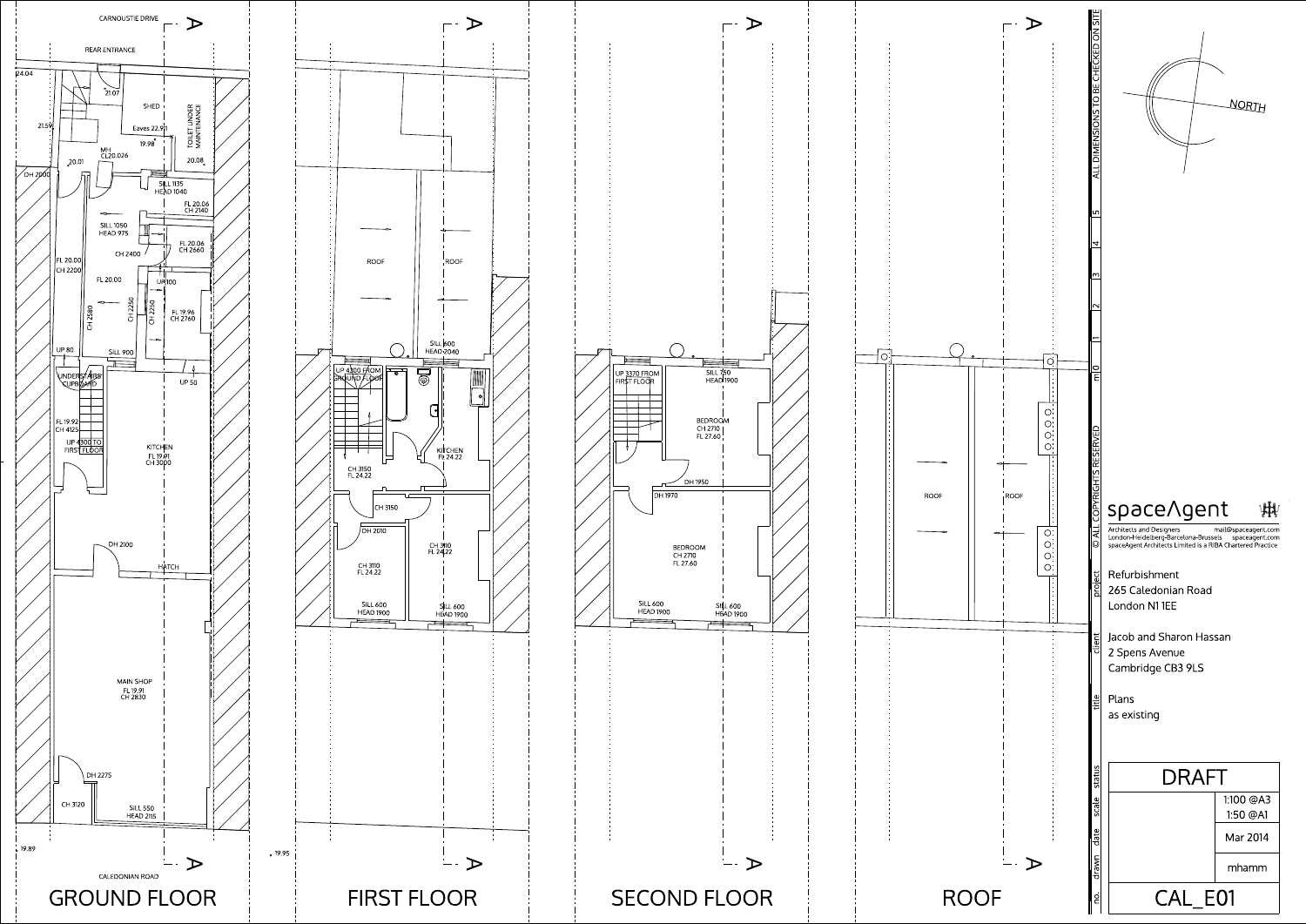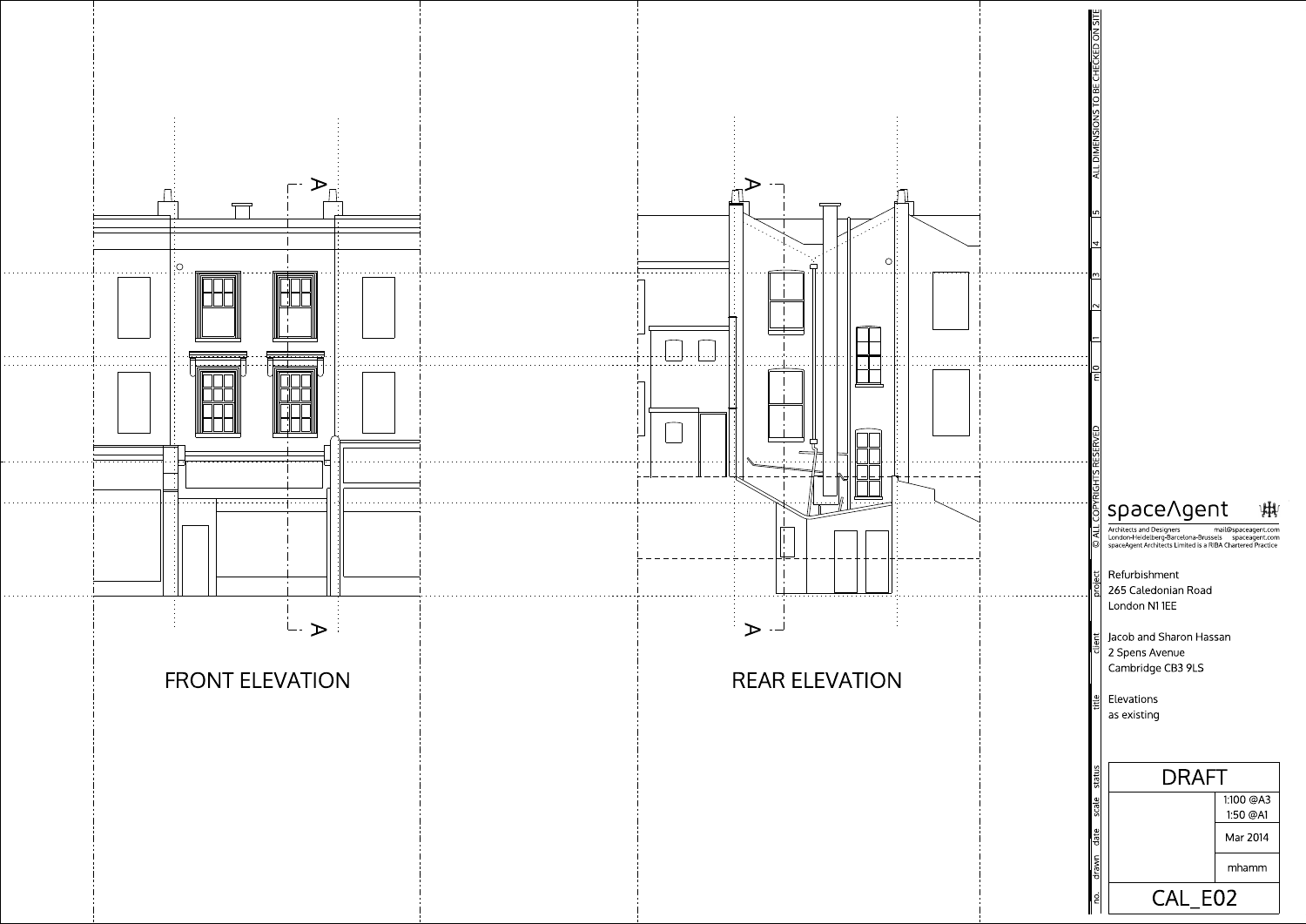



## space/gent 州

265 Caledonian Road Refurbishment London N1 1EE

Jacob and Sharon Hassan 2 Spens Avenue Cambridge CB3 9LS

mail@spaceagent.com Architects and Designers London-Heidelberg-Barcelona-Brussels spaceagent.com<br>spaceAgent Architects Limited is a RIBA Chartered Practice

as existing Elevations



ALLDIM ENSIONSTO BECHECKED ON SITE

 $\mathcal{L}$ 

 $\frac{2}{15}$   $\frac{3}{14}$   $\frac{15}{12}$ 

 $\overline{\phantom{1}}$ 

©

ALL COPYRIGHTS RESERVED